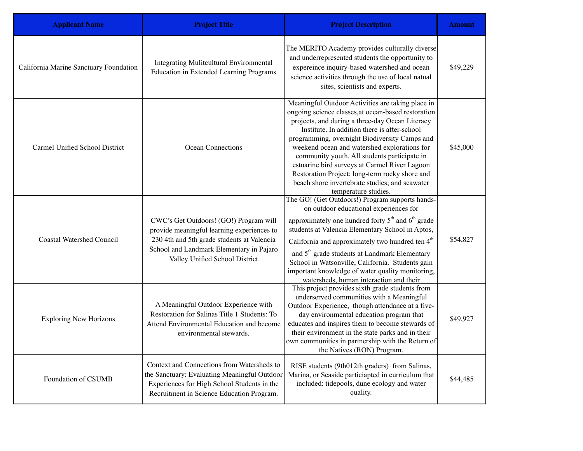| <b>Applicant Name</b>                  | <b>Project Title</b>                                                                                                                                                                                             | <b>Project Description</b>                                                                                                                                                                                                                                                                                                                                                                                                                                                                                                                | <b>Amount</b> |
|----------------------------------------|------------------------------------------------------------------------------------------------------------------------------------------------------------------------------------------------------------------|-------------------------------------------------------------------------------------------------------------------------------------------------------------------------------------------------------------------------------------------------------------------------------------------------------------------------------------------------------------------------------------------------------------------------------------------------------------------------------------------------------------------------------------------|---------------|
| California Marine Sanctuary Foundation | Integrating Mulitcultural Environmental<br><b>Education in Extended Learning Programs</b>                                                                                                                        | The MERITO Academy provides culturally diverse<br>and underrepresented students the opportunity to<br>expereince inquiry-based watershed and ocean<br>science activities through the use of local natual<br>sites, scientists and experts.                                                                                                                                                                                                                                                                                                | \$49,229      |
| Carmel Unified School District         | Ocean Connections                                                                                                                                                                                                | Meaningful Outdoor Activities are taking place in<br>ongoing science classes, at ocean-based restoration<br>projects, and during a three-day Ocean Literacy<br>Institute. In addition there is after-school<br>programming, overnight Biodiversity Camps and<br>weekend ocean and watershed explorations for<br>community youth. All students participate in<br>estuarine bird surveys at Carmel River Lagoon<br>Restoration Project; long-term rocky shore and<br>beach shore invertebrate studies; and seawater<br>temperature studies. | \$45,000      |
| <b>Coastal Watershed Council</b>       | CWC's Get Outdoors! (GO!) Program will<br>provide meaningful learning experiences to<br>230 4th and 5th grade students at Valencia<br>School and Landmark Elementary in Pajaro<br>Valley Unified School District | The GO! (Get Outdoors!) Program supports hands-<br>on outdoor educational experiences for<br>approximately one hundred forty 5 <sup>th</sup> and 6 <sup>th</sup> grade<br>students at Valencia Elementary School in Aptos,<br>California and approximately two hundred ten 4 <sup>th</sup><br>and 5 <sup>th</sup> grade students at Landmark Elementary<br>School in Watsonville, California. Students gain<br>important knowledge of water quality monitoring,<br>watersheds, human interaction and their                                | \$54,827      |
| <b>Exploring New Horizons</b>          | A Meaningful Outdoor Experience with<br>Restoration for Salinas Title 1 Students: To<br>Attend Environmental Education and become<br>environmental stewards.                                                     | This project provides sixth grade students from<br>underserved communities with a Meaningful<br>Outdoor Experience, though attendance at a five-<br>day environmental education program that<br>educates and inspires them to become stewards of<br>their environment in the state parks and in their<br>own communities in partnership with the Return of<br>the Natives (RON) Program.                                                                                                                                                  | \$49,927      |
| Foundation of CSUMB                    | Context and Connections from Watersheds to<br>the Sanctuary: Evaluating Meaningful Outdoor<br>Experiences for High School Students in the<br>Recruitment in Science Education Program.                           | RISE students (9th012th graders) from Salinas,<br>Marina, or Seaside particiapted in curriculum that<br>included: tidepools, dune ecology and water<br>quality.                                                                                                                                                                                                                                                                                                                                                                           | \$44,485      |